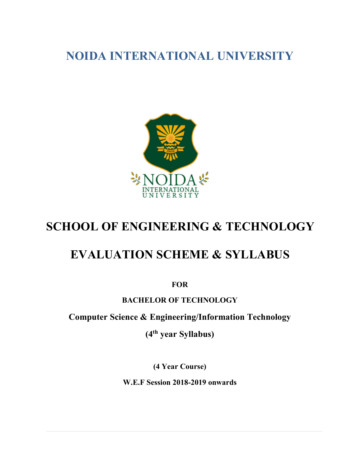NOIDA INTERNATIONAL UNIVERSITY



# SCHOOL OF ENGINEERING & TECHNOLOGY

# EVALUATION SCHEME & SYLLABUS

**FOR** 

## BACHELOR OF TECHNOLOGY

Computer Science & Engineering/Information Technology

(4th year Syllabus)

(4 Year Course)

W.E.F Session 2018-2019 onwards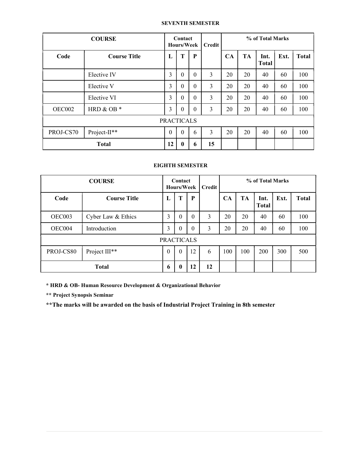### SEVENTH SEMESTER

| <b>COURSE</b>     |                     | Contact<br><b>Hours/Week</b> |                  | Credit           | % of Total Marks |    |           |                      |      |              |
|-------------------|---------------------|------------------------------|------------------|------------------|------------------|----|-----------|----------------------|------|--------------|
| Code              | <b>Course Title</b> | L                            | T                | $\mathbf P$      |                  | CA | <b>TA</b> | Int.<br><b>Total</b> | Ext. | <b>Total</b> |
|                   | Elective IV         | 3                            | $\theta$         | $\theta$         | 3                | 20 | 20        | 40                   | 60   | 100          |
|                   | Elective V          | 3                            | $\theta$         | $\theta$         | 3                | 20 | 20        | 40                   | 60   | 100          |
|                   | Elective VI         | 3                            | $\theta$         | $\theta$         | 3                | 20 | 20        | 40                   | 60   | 100          |
| OEC002            | HRD & OB $*$        | 3                            | $\boldsymbol{0}$ | $\boldsymbol{0}$ | 3                | 20 | 20        | 40                   | 60   | 100          |
| <b>PRACTICALS</b> |                     |                              |                  |                  |                  |    |           |                      |      |              |
| PROJ-CS70         | Project-II**        | $\mathbf{0}$                 | $\theta$         | 6                | 3                | 20 | 20        | 40                   | 60   | 100          |
| <b>Total</b>      |                     | 12                           | $\mathbf{0}$     | 6                | 15               |    |           |                      |      |              |

### EIGHTH SEMESTER

| <b>COURSE</b>     |                           | Contact<br>Hours/Week |              | Credit   | % of Total Marks |     |           |                      |      |              |
|-------------------|---------------------------|-----------------------|--------------|----------|------------------|-----|-----------|----------------------|------|--------------|
| Code              | <b>Course Title</b>       | L                     | T            | P        |                  | CА  | <b>TA</b> | Int.<br><b>Total</b> | Ext. | <b>Total</b> |
| OEC003            | Cyber Law & Ethics        | 3                     | $\theta$     | 0        | 3                | 20  | 20        | 40                   | 60   | 100          |
| OEC004            | Introduction              | 3                     | $\mathbf{0}$ | $\theta$ | 3                | 20  | 20        | 40                   | 60   | 100          |
| <b>PRACTICALS</b> |                           |                       |              |          |                  |     |           |                      |      |              |
| PROJ-CS80         | Project III <sup>**</sup> | $\theta$              | $\mathbf{0}$ | 12       | 6                | 100 | 100       | 200                  | 300  | 500          |
| <b>Total</b>      |                           | 6                     | $\bf{0}$     | 12       | 12               |     |           |                      |      |              |

\* HRD & OB- Human Resource Development & Organizational Behavior

\*\* Project Synopsis Seminar

\*\*The marks will be awarded on the basis of Industrial Project Training in 8th semester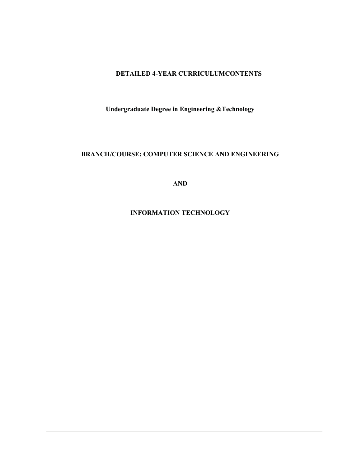### DETAILED 4-YEAR CURRICULUMCONTENTS

Undergraduate Degree in Engineering &Technology

## BRANCH/COURSE: COMPUTER SCIENCE AND ENGINEERING

AND

INFORMATION TECHNOLOGY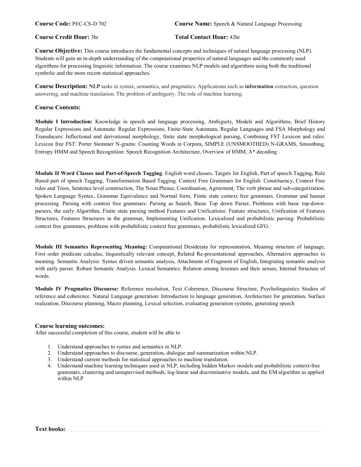#### Course Credit Hour: 3hr Total Contact Hour: 42hr

Course Objective: This course introduces the fundamental concepts and techniques of natural language processing (NLP). Students will gain an in-depth understanding of the computational properties of natural languages and the commonly used algorithms for processing linguistic information. The course examines NLP models and algorithms using both the traditional symbolic and the more recent statistical approaches.

Course Description: NLP tasks in syntax, semantics, and pragmatics. Applications such as information extraction, question answering, and machine translation. The problem of ambiguity. The role of machine learning.

#### Course Contents:

Module I Introduction: Knowledge in speech and language processing, Ambiguity, Models and Algorithms, Brief History Regular Expressions and Automata: Regular Expressions, Finite-State Automata, Regular Languages and FSA Morphology and Transducers: Inflectional and derivational morphology, finite state morphological parsing, Combining FST Lexicon and rules. Lexicon free FST: Porter Stemmer N-grams: Counting Words in Corpora, SIMPLE (UNSMOOTHED) N-GRAMS, Smoothing, Entropy HMM and Speech Recognition: Speech Recognition Architecture, Overview of HMM, A\* decoding .

Module II Word Classes and Part-of-Speech Tagging: English word classes, Targets for English, Part of speech Tagging, Rule Based part of speech Tagging, Transformation Based Tagging. Context Free Grammars for English: Constituency, Context Free rules and Trees, Sentence level construction, The Noun Phrase, Coordination, Agreement, The verb phrase and sub-categorization. Spoken Language Syntax, Grammar Equivalence and Normal form, Finite state context free grammars, Grammar and human processing. Parsing with context free grammars: Parsing as Search, Basic Top down Parser, Problems with basic top-downparsers, the early Algorithm, Finite state parsing method Features and Unifications: Feature structures, Unification of Features Structures, Features Structures in the grammar, Implementing Unification. Lexicalized and probabilistic parsing: Probabilistic context free grammars, problems with probabilistic context free grammars, probabilistic lexicalized GFG.

Module III Semantics Representing Meaning: Computational Desiderata for representation, Meaning structure of language, First order predicate calculus, linguistically relevant concept, Related Re-presentational approaches, Alternative approaches to meaning. Semantic Analysis: Syntax driven semantic analysis, Attachment of Fragment of English, Integrating semantic analysis with early parser. Robust Semantic Analysis. Lexical Semantics: Relation among lexemes and their senses, Internal Structure of words.

Module IV Pragmatics Discourse: Reference resolution, Text Coherence, Discourse Structure, Psycholinguistics Studies of reference and coherence. Natural Language generation: Introduction to language generation, Architecture for generation, Surface realization, Discourse planning, Macro planning, Lexical selection, evaluating generation systems, generating speech

#### Course learning outcomes:

After successful completion of this course, student will be able to

- 1. Understand approaches to syntax and semantics in NLP.
- 2. Understand approaches to discourse, generation, dialogue and summarization within NLP.
- 3. Understand current methods for statistical approaches to machine translation.
- 4. Understand machine learning techniques used in NLP, including hidden Markov models and probabilistic context-free grammars, clustering and unsupervised methods, log-linear and discriminative models, and the EM algorithm as applied within NLP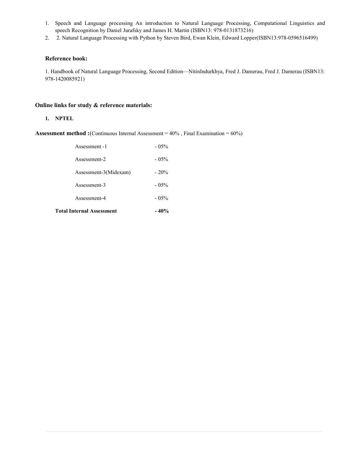- 1. Speech and Language processing An introduction to Natural Language Processing, Computational Linguistics and speech Recognition by Daniel Jurafsky and James H. Martin (ISBN13: 978-0131873216)
- 2. 2. Natural Language Processing with Python by Steven Bird, Ewan Klein, Edward Lopper(ISBN13:978-0596516499)

#### Reference book:

1. Handbook of Natural Language Processing, Second Edition—NitinIndurkhya, Fred J. Damerau, Fred J. Damerau (ISBN13: 978-1420085921)

#### Online links for study & reference materials:

#### 1. NPTEL

Assessment method :(Continuous Internal Assessment = 40% , Final Examination = 60%)

| <b>Total Internal Assessment</b> | $-40%$   |
|----------------------------------|----------|
| Assessment-4                     | $-0.5\%$ |
| Assessment-3                     | $-0.5\%$ |
| Assessment-3(Midexam)            | $-20%$   |
| Assessment-2                     | $-0.5\%$ |
| Assessment -1                    | $-0.5\%$ |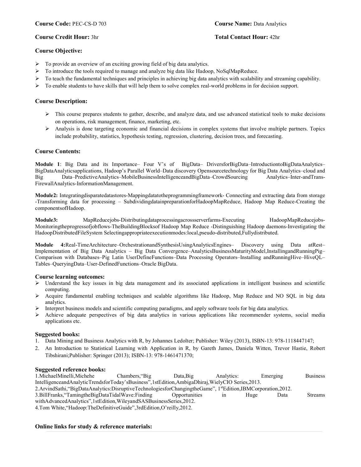#### Course Credit Hour: 3hr Total Contact Hour: 42hr

#### Course Objective:

- $\triangleright$  To provide an overview of an exciting growing field of big data analytics.
- $\triangleright$  To introduce the tools required to manage and analyze big data like Hadoop, NoSqlMapReduce.
- $\triangleright$  To teach the fundamental techniques and principles in achieving big data analytics with scalability and streaming capability.
- $\triangleright$  To enable students to have skills that will help them to solve complex real-world problems in for decision support.

#### Course Description:

- $\triangleright$  This course prepares students to gather, describe, and analyze data, and use advanced statistical tools to make decisions on operations, risk management, finance, marketing, etc.
- $\triangleright$  Analysis is done targeting economic and financial decisions in complex systems that involve multiple partners. Topics include probability, statistics, hypothesis testing, regression, clustering, decision trees, and forecasting.

#### Course Contents:

Module 1: Big Data and its Importance– Four V's of BigData– DriversforBigData–IntroductiontoBigDataAnalytics– BigDataAnalyticsapplications, Hadoop's Parallel World–Data discovery Opensourcetechnology for Big Data Analytics–cloud and Big Data–PredictiveAnalytics–MobileBusinessIntelligenceandBigData–CrowdSourcing Analytics–Inter-andTrans-FirewallAnalytics-InformationManagement.

Module2: Integratingdisparatedatastores-Mappingdatatotheprogrammingframework- Connecting and extracting data from storage -Transforming data for processing – SubdividingdatainpreparationforHadoopMapReduce, Hadoop Map Reduce-Creating the componentsofHadoop.

Module3: MapReducejobs-Distributingdataprocessingacrossserverfarms-Executing HadoopMapReducejobs-Monitoringtheprogressofjobflows-TheBuildingBlocksof Hadoop Map Reduce -Distinguishing Hadoop daemons-Investigating the HadoopDistributedFileSystem Selectingappropriateexecutionmodes:local,pseudo-distributed,Fullydistributed.

Module 4:Real-TimeArchitecture–OrchestrationandSynthesisUsingAnalyticsEngines– Discovery using Data atRest– Implementation of Big Data Analytics – Big Data Convergence–AnalyticsBusinessMaturityModel,InstallingandRunningPig– Comparison with Databases–Pig Latin UserDefineFunctions–Data Processing Operators–Installing andRunningHive–HiveQL– Tables–QueryingData–User-DefinedFunctions–Oracle BigData.

#### Course learning outcomes:

- $\triangleright$  Understand the key issues in big data management and its associated applications in intelligent business and scientific computing.
- Acquire fundamental enabling techniques and scalable algorithms like Hadoop, Map Reduce and NO SQL in big data analytics.
- Interpret business models and scientific computing paradigms, and apply software tools for big data analytics.
- $\triangleright$  Achieve adequate perspectives of big data analytics in various applications like recommender systems, social media applications etc.

#### Suggested books:

- 1. Data Mining and Business Analytics with R, by Johannes Ledolter; Publisher: Wiley (2013), ISBN-13: 978-1118447147;
- 2. An Introduction to Statistical Learning with Application in R, by Gareth James, Daniela Witten, Trevor Hastie, Robert Tibshirani;Publisher: Springer (2013); ISBN-13: 978-1461471370;

#### Suggested reference books:

1.MichaelMinelli,Michehe Chambers,"Big Data,Big Analytics: Emerging Business IntelligenceandAnalyticTrendsforToday'sBusiness",1stEdition,AmbigaDhiraj,WielyCIO Series,2013. 2.ArvindSathi, "BigDataAnalytics:DisruptiveTechnologiesforChangingtheGame", 1stEdition,IBMCorporation,2012. 3.BillFranks,"TamingtheBigDataTidalWave:Finding Opportunities in Huge Data Streams withAdvancedAnalytics",1stEdition,WileyandSASBusinessSeries,2012. 4.Tom White,"Hadoop:TheDefinitiveGuide",3rdEdition,O'reilly,2012.

#### Online links for study & reference materials: